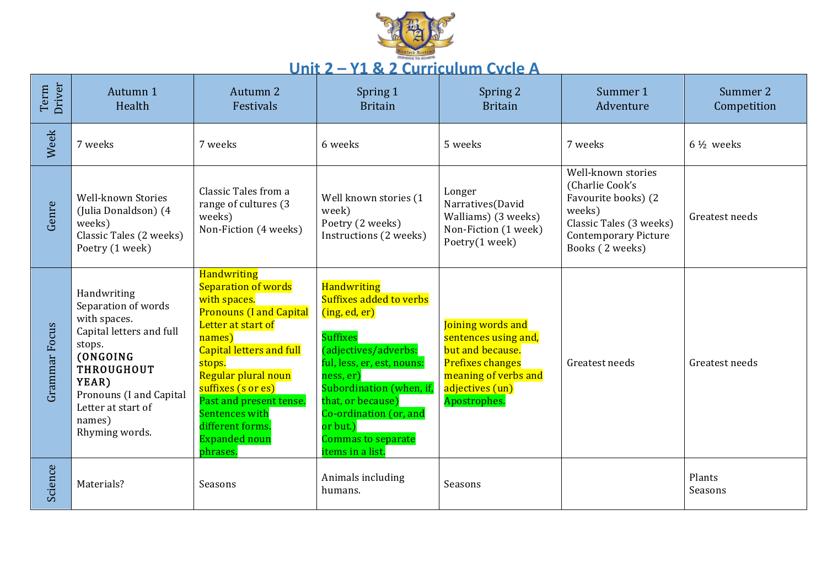

## Unit 2 – Y1 & 2 Curriculum Cycle A

| Driver<br>Term | Autumn 1<br>Health                                                                                                                                                                                              | Autumn 2<br>Festivals                                                                                                                                                                                                                                                                                                      | Spring 1<br><b>Britain</b>                                                                                                                                                                                                                                                                         | Spring 2<br><b>Britain</b>                                                                                                                          | Summer 1<br>Adventure                                                                                                                               | Summer 2<br>Competition |
|----------------|-----------------------------------------------------------------------------------------------------------------------------------------------------------------------------------------------------------------|----------------------------------------------------------------------------------------------------------------------------------------------------------------------------------------------------------------------------------------------------------------------------------------------------------------------------|----------------------------------------------------------------------------------------------------------------------------------------------------------------------------------------------------------------------------------------------------------------------------------------------------|-----------------------------------------------------------------------------------------------------------------------------------------------------|-----------------------------------------------------------------------------------------------------------------------------------------------------|-------------------------|
| Week           | 7 weeks                                                                                                                                                                                                         | 7 weeks                                                                                                                                                                                                                                                                                                                    | 6 weeks                                                                                                                                                                                                                                                                                            | 5 weeks                                                                                                                                             | 7 weeks                                                                                                                                             | $6\frac{1}{2}$ weeks    |
| Genre          | Well-known Stories<br>(Julia Donaldson) (4<br>weeks)<br>Classic Tales (2 weeks)<br>Poetry (1 week)                                                                                                              | Classic Tales from a<br>range of cultures (3<br>weeks)<br>Non-Fiction (4 weeks)                                                                                                                                                                                                                                            | Well known stories (1<br>week)<br>Poetry (2 weeks)<br>Instructions (2 weeks)                                                                                                                                                                                                                       | Longer<br>Narratives(David<br>Walliams) (3 weeks)<br>Non-Fiction (1 week)<br>Poetry(1 week)                                                         | Well-known stories<br>(Charlie Cook's<br>Favourite books) (2<br>weeks)<br>Classic Tales (3 weeks)<br><b>Contemporary Picture</b><br>Books (2 weeks) | Greatest needs          |
| Grammar Focus  | Handwriting<br>Separation of words<br>with spaces.<br>Capital letters and full<br>stops.<br>(ONGOING<br><b>THROUGHOUT</b><br>YEAR)<br>Pronouns (I and Capital<br>Letter at start of<br>names)<br>Rhyming words. | <b>Handwriting</b><br>Separation of words<br>with spaces.<br><b>Pronouns (I and Capital</b><br>Letter at start of<br>names)<br><b>Capital letters and full</b><br>stops.<br>Regular plural noun<br>suffixes (s or es)<br>Past and present tense.<br>Sentences with<br>different forms.<br><b>Expanded noun</b><br>phrases. | <b>Handwriting</b><br>Suffixes added to verbs<br>(i <sub>ng</sub> , ed, er)<br><b>Suffixes</b><br>(adjectives/adverbs:<br>ful, less, er, est, nouns:<br>ness, er)<br>Subordination (when, if,<br>that, or because)<br>Co-ordination (or, and<br>or but.)<br>Commas to separate<br>items in a list. | Joining words and<br>sentences using and,<br>but and because.<br><b>Prefixes changes</b><br>meaning of verbs and<br>adjectives (un)<br>Apostrophes. | Greatest needs                                                                                                                                      | Greatest needs          |
| Science        | Materials?                                                                                                                                                                                                      | Seasons                                                                                                                                                                                                                                                                                                                    | Animals including<br>humans.                                                                                                                                                                                                                                                                       | Seasons                                                                                                                                             |                                                                                                                                                     | Plants<br>Seasons       |